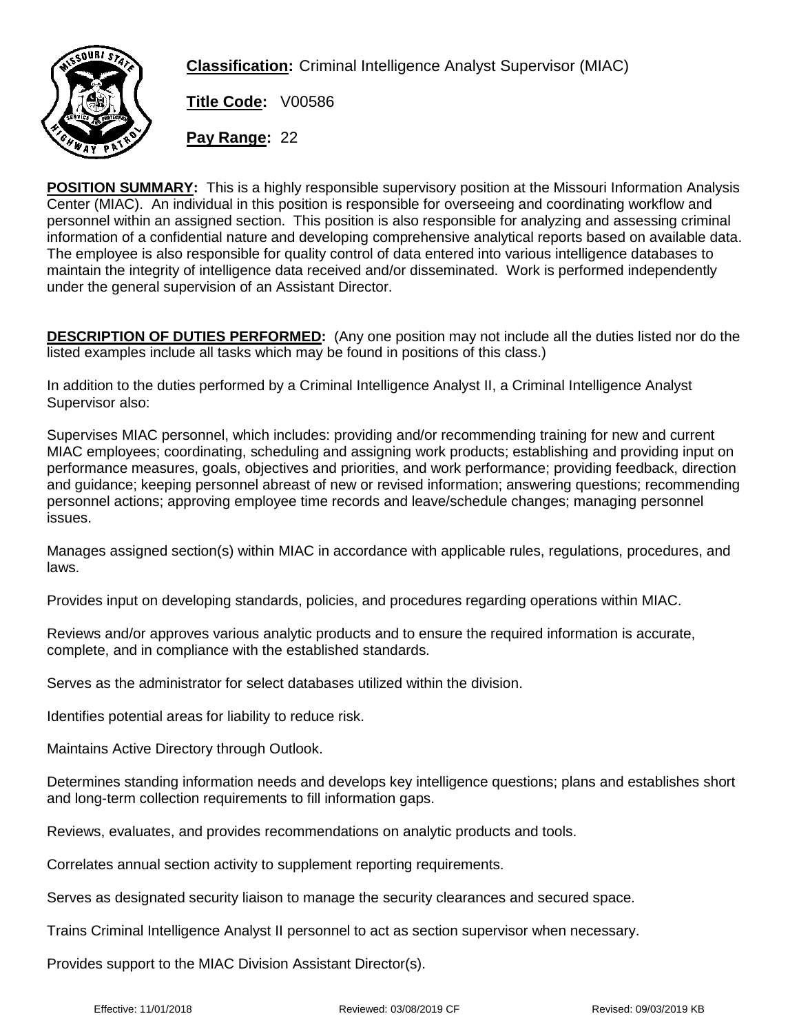

**Classification:** Criminal Intelligence Analyst Supervisor (MIAC)

**Title Code:** V00586

**Pay Range:** 22

**POSITION SUMMARY:** This is a highly responsible supervisory position at the Missouri Information Analysis Center (MIAC). An individual in this position is responsible for overseeing and coordinating workflow and personnel within an assigned section. This position is also responsible for analyzing and assessing criminal information of a confidential nature and developing comprehensive analytical reports based on available data. The employee is also responsible for quality control of data entered into various intelligence databases to maintain the integrity of intelligence data received and/or disseminated. Work is performed independently under the general supervision of an Assistant Director.

**DESCRIPTION OF DUTIES PERFORMED:** (Any one position may not include all the duties listed nor do the listed examples include all tasks which may be found in positions of this class.)

In addition to the duties performed by a Criminal Intelligence Analyst II, a Criminal Intelligence Analyst Supervisor also:

Supervises MIAC personnel, which includes: providing and/or recommending training for new and current MIAC employees; coordinating, scheduling and assigning work products; establishing and providing input on performance measures, goals, objectives and priorities, and work performance; providing feedback, direction and guidance; keeping personnel abreast of new or revised information; answering questions; recommending personnel actions; approving employee time records and leave/schedule changes; managing personnel issues.

Manages assigned section(s) within MIAC in accordance with applicable rules, regulations, procedures, and laws.

Provides input on developing standards, policies, and procedures regarding operations within MIAC.

Reviews and/or approves various analytic products and to ensure the required information is accurate, complete, and in compliance with the established standards.

Serves as the administrator for select databases utilized within the division.

Identifies potential areas for liability to reduce risk.

Maintains Active Directory through Outlook.

Determines standing information needs and develops key intelligence questions; plans and establishes short and long-term collection requirements to fill information gaps.

Reviews, evaluates, and provides recommendations on analytic products and tools.

Correlates annual section activity to supplement reporting requirements.

Serves as designated security liaison to manage the security clearances and secured space.

Trains Criminal Intelligence Analyst II personnel to act as section supervisor when necessary.

Provides support to the MIAC Division Assistant Director(s).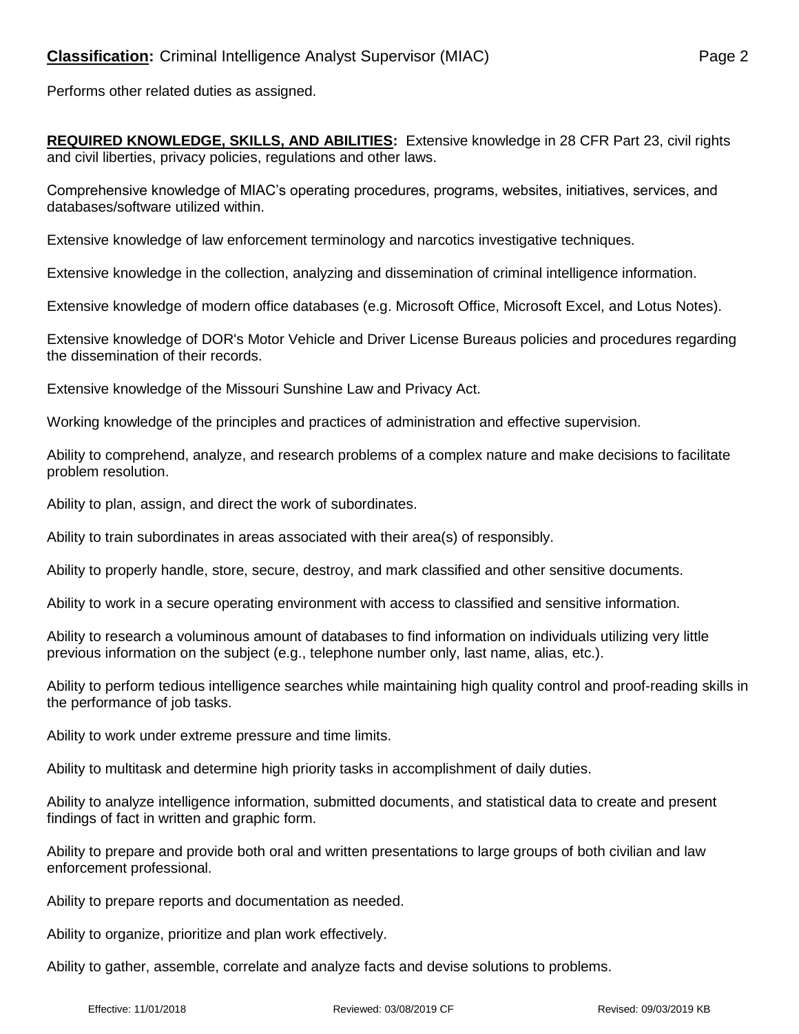Performs other related duties as assigned.

**REQUIRED KNOWLEDGE, SKILLS, AND ABILITIES:** Extensive knowledge in 28 CFR Part 23, civil rights and civil liberties, privacy policies, regulations and other laws.

Comprehensive knowledge of MIAC's operating procedures, programs, websites, initiatives, services, and databases/software utilized within.

Extensive knowledge of law enforcement terminology and narcotics investigative techniques.

Extensive knowledge in the collection, analyzing and dissemination of criminal intelligence information.

Extensive knowledge of modern office databases (e.g. Microsoft Office, Microsoft Excel, and Lotus Notes).

Extensive knowledge of DOR's Motor Vehicle and Driver License Bureaus policies and procedures regarding the dissemination of their records.

Extensive knowledge of the Missouri Sunshine Law and Privacy Act.

Working knowledge of the principles and practices of administration and effective supervision.

Ability to comprehend, analyze, and research problems of a complex nature and make decisions to facilitate problem resolution.

Ability to plan, assign, and direct the work of subordinates.

Ability to train subordinates in areas associated with their area(s) of responsibly.

Ability to properly handle, store, secure, destroy, and mark classified and other sensitive documents.

Ability to work in a secure operating environment with access to classified and sensitive information.

Ability to research a voluminous amount of databases to find information on individuals utilizing very little previous information on the subject (e.g., telephone number only, last name, alias, etc.).

Ability to perform tedious intelligence searches while maintaining high quality control and proof-reading skills in the performance of job tasks.

Ability to work under extreme pressure and time limits.

Ability to multitask and determine high priority tasks in accomplishment of daily duties.

Ability to analyze intelligence information, submitted documents, and statistical data to create and present findings of fact in written and graphic form.

Ability to prepare and provide both oral and written presentations to large groups of both civilian and law enforcement professional.

Ability to prepare reports and documentation as needed.

Ability to organize, prioritize and plan work effectively.

Ability to gather, assemble, correlate and analyze facts and devise solutions to problems.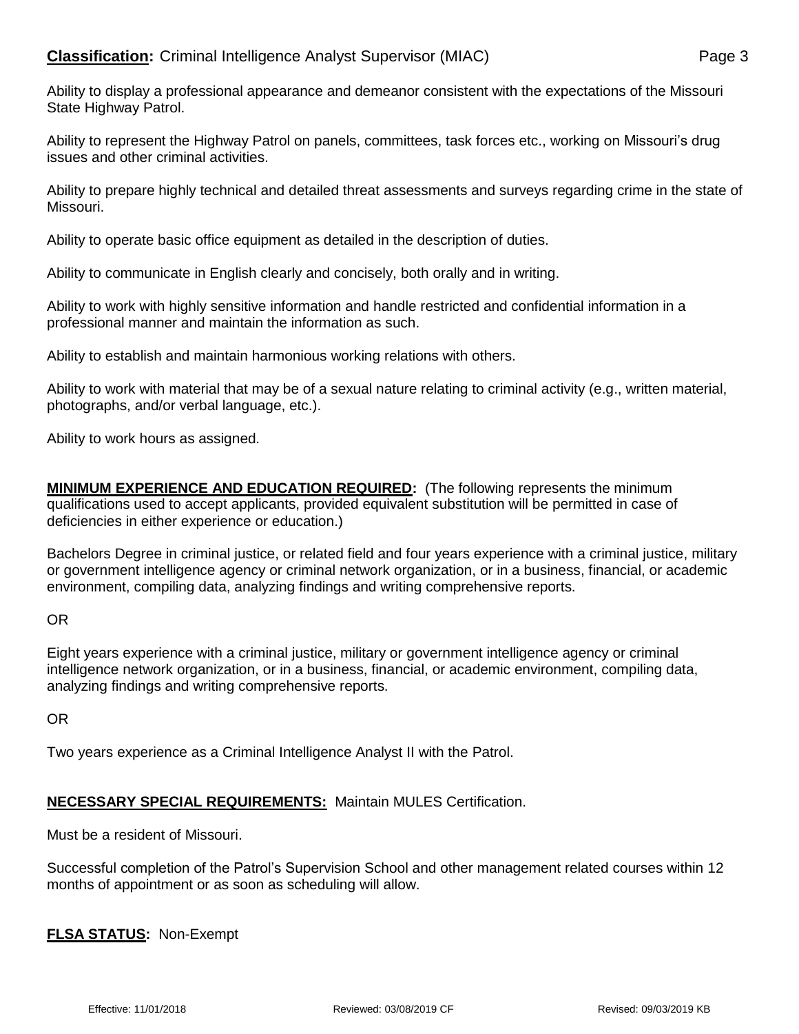Ability to represent the Highway Patrol on panels, committees, task forces etc., working on Missouri's drug issues and other criminal activities.

Ability to prepare highly technical and detailed threat assessments and surveys regarding crime in the state of Missouri.

Ability to operate basic office equipment as detailed in the description of duties.

Ability to communicate in English clearly and concisely, both orally and in writing.

Ability to work with highly sensitive information and handle restricted and confidential information in a professional manner and maintain the information as such.

Ability to establish and maintain harmonious working relations with others.

Ability to work with material that may be of a sexual nature relating to criminal activity (e.g., written material, photographs, and/or verbal language, etc.).

Ability to work hours as assigned.

**MINIMUM EXPERIENCE AND EDUCATION REQUIRED:** (The following represents the minimum qualifications used to accept applicants, provided equivalent substitution will be permitted in case of deficiencies in either experience or education.)

Bachelors Degree in criminal justice, or related field and four years experience with a criminal justice, military or government intelligence agency or criminal network organization, or in a business, financial, or academic environment, compiling data, analyzing findings and writing comprehensive reports.

OR

Eight years experience with a criminal justice, military or government intelligence agency or criminal intelligence network organization, or in a business, financial, or academic environment, compiling data, analyzing findings and writing comprehensive reports.

OR

Two years experience as a Criminal Intelligence Analyst II with the Patrol.

## **NECESSARY SPECIAL REQUIREMENTS:** Maintain MULES Certification.

Must be a resident of Missouri.

Successful completion of the Patrol's Supervision School and other management related courses within 12 months of appointment or as soon as scheduling will allow.

**FLSA STATUS:** Non-Exempt